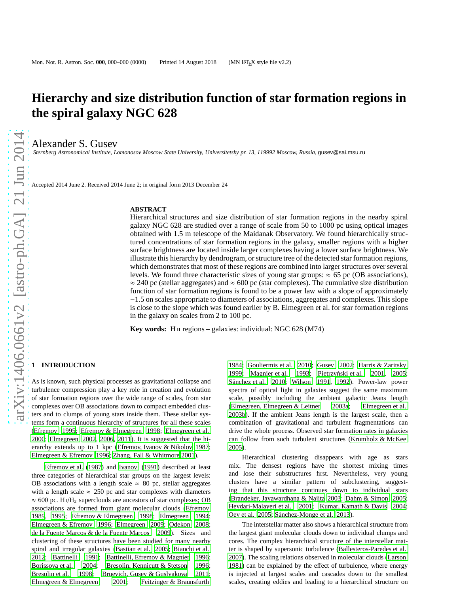# **Hierarchy and size distribution function of star formation regions in the spiral galaxy NGC 628**

Alexander S. Gusev

*Sternberg Astronomical Institute, Lomonosov Moscow State University, Universitetsky pr. 13, 119992 Moscow, Russia,* gusev@sai.msu.ru

Accepted 2014 June 2. Received 2014 June 2; in original form 2013 December 24

### **ABSTRACT**

Hierarchical structures and size distribution of star formation regions in the nearby spiral galaxy NGC 628 are studied over a range of scale from 50 to 1000 pc using optical images obtained with 1.5 m telescope of the Maidanak Observatory. We found hierarchically structured concentrations of star formation regions in the galaxy, smaller regions with a higher surface brightness are located inside larger complexes having a lower surface brightness. We illustrate this hierarchy by dendrogram, or structure tree of the detected star formation regions, which demonstrates that most of these regions are combined into larger structures over several levels. We found three characteristic sizes of young star groups:  $\approx$  65 pc (OB associations),  $\approx$  240 pc (stellar aggregates) and  $\approx$  600 pc (star complexes). The cumulative size distribution function of star formation regions is found to be a power law with a slope of approximately −1.5 on scales appropriate to diameters of associations, aggregates and complexes. This slope is close to the slope which was found earlier by B. Elmegreen et al. for star formation regions in the galaxy on scales from 2 to 100 pc.

**Key words:** H<sub>II</sub> regions – galaxies: individual: NGC 628 (M74)

### **1 INTRODUCTION**

As is known, such physical processes as gravitational collapse and turbulence compression play a key role in creation and evolution of star formation regions over the wide range of scales, from star complexes over OB associations down to compact embedded clusters and to clumps of young stars inside them. These stellar systems form a continuous hierarchy of structures for all these scales [\(Efremov 1995;](#page-7-0) [Efremov & Elmegreen 1998;](#page-7-1) [Elmegreen et al.](#page-8-0) [2000](#page-8-0); [Elmegreen 2002](#page-7-2), [2006](#page-7-3), [2011\)](#page-7-4). It is suggested that the hierarchy extends up to 1 kpc [\(Efremov, Ivanov & Nikolov 1987;](#page-7-5) [Elmegreen & Efremov 1996;](#page-8-1) [Zhang, Fall & Whitmore 2001\)](#page-8-2).

[Efremov et al.](#page-7-5) [\(1987](#page-7-5)) and [Ivanov \(1991](#page-8-3)) described at least three categories of hierarchical star groups on the largest levels: OB associations with a length scale  $\approx 80$  pc, stellar aggregates with a length scale  $\approx$  250 pc and star complexes with diameters  $\approx$  600 pc. H<sub>1</sub>/H<sub>2</sub> superclouds are ancestors of star complexes; OB associations are formed from giant molecular clouds [\(Efremov](#page-7-6) [1989](#page-7-6), [1995;](#page-7-0) [Efremov & Elmegreen 1998](#page-7-1); [Elmegreen 1994;](#page-7-7) [Elmegreen & Efremov 1996](#page-8-1); [Elmegreen 2009;](#page-7-8) [Odekon 2008;](#page-8-4) [de la Fuente Marcos & de la Fuente Marcos 2009\)](#page-7-9). Sizes and clustering of these structures have been studied for many nearby spiral and irregular galaxies [\(Bastian et al. 2005;](#page-7-10) [Bianchi](#page-7-11) et al. [2012](#page-7-11); [Battinelli 1991;](#page-7-12) [Battinelli, Efremov & Magnier 1996;](#page-7-13) [Borissova et al. 2004](#page-7-14); [Bresolin, Kennicutt & Stetson 1996;](#page-7-15) [Bresolin et al. 1998](#page-7-16); [Bruevich, Gusev & Guslyakova 2011;](#page-7-17) [Elmegreen & Elmegreen 2001](#page-8-5); [Feitzinger & Braunsfurth](#page-8-6)

[1984](#page-8-6); [Gouliermis et al. 2010](#page-8-7); [Gusev 2002;](#page-8-8) [Harris & Zaritsky](#page-8-9) [1999](#page-8-9); [Magnier et al. 1993](#page-8-10); Pietrzyński et al. 2001, [2005;](#page-8-12) Sánchez et al. 2010; [Wilson 1991,](#page-8-14) [1992\)](#page-8-15). Power-law power spectra of optical light in galaxies suggest the same maximum scale, possibly including the ambient galactic Jeans length [\(Elmegreen, Elmegreen & Leitner 2003a](#page-8-16); [Elmegreen et al.](#page-8-17) [2003b](#page-8-17)). If the ambient Jeans length is the largest scale, then a combination of gravitational and turbulent fragmentations can drive the whole process. Observed star formation rates in galaxies can follow from such turbulent structures [\(Krumholz & McKee](#page-8-18) [2005](#page-8-18)).

Hierarchical clustering disappears with age as stars mix. The densest regions have the shortest mixing times and lose their substructures first. Nevertheless, very young clusters have a similar pattern of subclustering, suggesting that this structure continues down to individual stars [\(Brandeker, Jayawardhana & Najita 2003](#page-7-18); [Dahm & Simon 2005;](#page-7-19) [Heydari-Malayeri et al. 2001;](#page-8-19) [Kumar, Kamath & Davis 2004;](#page-8-20) [Oey et al. 2005](#page-8-21); Sánchez-Monge et al. 2013).

The interstellar matter also shows a hierarchical structure from the largest giant molecular clouds down to individual clumps and cores. The complex hierarchical structure of the interstellar matter is shaped by supersonic turbulence [\(Ballesteros-Paredes et al.](#page-7-20) [2007](#page-7-20)). The scaling relations observed in molecular clouds [\(Larson](#page-8-23) [1981](#page-8-23)) can be explained by the effect of turbulence, where energy is injected at largest scales and cascades down to the smallest scales, creating eddies and leading to a hierarchical structure on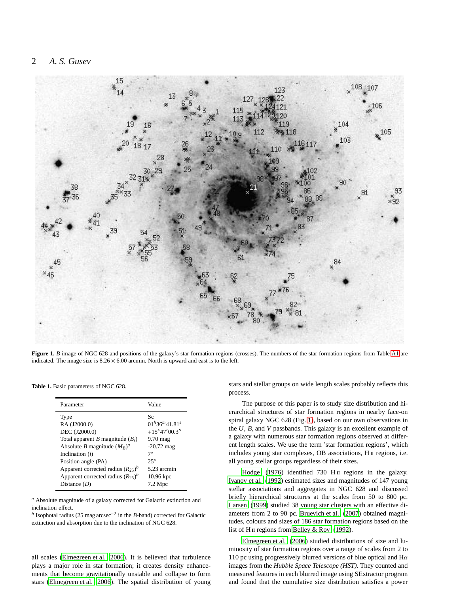### 2 *A. S. Gusev*



Figure 1. *B* image of NGC 628 and positions of the galaxy's star formation regions (crosses). The numbers of the star formation regions from Table [A1](#page-9-0) are indicated. The image size is  $8.26 \times 6.00$  arcmin. North is upward and east is to the left.

<span id="page-1-0"></span>**Table 1.** Basic parameters of NGC 628.

<span id="page-1-1"></span>

| Parameter                              | Value                  |
|----------------------------------------|------------------------|
| Type                                   | Sc                     |
| RA (J2000.0)                           | $01^h36^m41.81^s$      |
| DEC (J2000.0)                          | $+15^{\circ}47'00.3''$ |
| Total apparent B magnitude $(B_t)$     | $9.70$ mag             |
| Absolute B magnitude $(M_B)^a$         | $-20.72$ mag           |
| Inclination $(i)$                      | $7^\circ$              |
| Position angle (PA)                    | $25^{\circ}$           |
| Apparent corrected radius $(R_{25})^b$ | 5.23 arcmin            |
| Apparent corrected radius $(R_{25})^b$ | $10.96$ kpc            |
| Distance $(D)$                         | $7.2 \text{ Mpc}$      |

*<sup>a</sup>* Absolute magnitude of a galaxy corrected for Galactic extinction and inclination effect.

*b* Isophotal radius (25 mag arcsec<sup>-2</sup> in the *B*-band) corrected for Galactic extinction and absorption due to the inclination of NGC 628.

all scales [\(Elmegreen et al. 2006](#page-8-24)). It is believed that turbulence plays a major role in star formation; it creates density enhancements that become gravitationally unstable and collapse to form stars [\(Elmegreen et al. 2006\)](#page-8-24). The spatial distribution of young stars and stellar groups on wide length scales probably reflects this process.

The purpose of this paper is to study size distribution and hierarchical structures of star formation regions in nearby face-on spiral galaxy NGC 628 (Fig. [1\)](#page-1-0), based on our own observations in the *U*, *B*, and *V* passbands. This galaxy is an excellent example of a galaxy with numerous star formation regions observed at different length scales. We use the term 'star formation regions', which includes young star complexes, OB associations, H II regions, i.e. all young stellar groups regardless of their sizes.

Hodge  $(1976)$  identified 730 H<sub>II</sub> regions in the galaxy. [Ivanov et al. \(1992\)](#page-8-26) estimated sizes and magnitudes of 147 young stellar associations and aggregates in NGC 628 and discussed briefly hierarchical structures at the scales from 50 to 800 pc. [Larsen \(1999](#page-8-27)) studied 38 young star clusters with an effective diameters from 2 to 90 pc. [Bruevich et al. \(2007\)](#page-7-21) obtained magnitudes, colours and sizes of 186 star formation regions based on the list of H II regions from [Belley & Roy \(1992\)](#page-7-22).

[Elmegreen et al. \(2006\)](#page-8-24) studied distributions of size and luminosity of star formation regions over a range of scales from 2 to 110 pc using progressively blurred versions of blue optical and  $H\alpha$ images from the *Hubble Space Telescope (HST)*. They counted and measured features in each blurred image using SExtractor program and found that the cumulative size distribution satisfies a power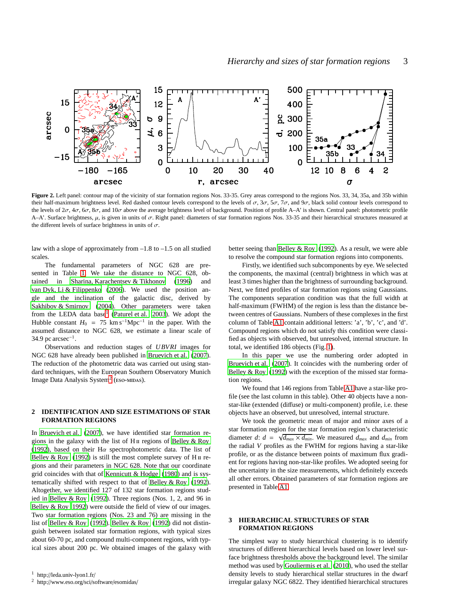

<span id="page-2-2"></span>Figure 2. Left panel: contour map of the vicinity of star formation regions Nos. 33-35. Grey areas correspond to the regions Nos. 33, 34, 35a, and 35b within their half-maximum brightness level. Red dashed contour levels correspond to the levels of  $\sigma$ ,  $3\sigma$ ,  $5\sigma$ ,  $7\sigma$ , and  $9\sigma$ , black solid contour levels correspond to the levels of  $2\sigma$ ,  $4\sigma$ ,  $6\sigma$ ,  $8\sigma$ , and  $10\sigma$  above the average brightness level of background. Position of profile A–A' is shown. Central panel: photometric profile A–A'. Surface brightness,  $\mu$ , is given in units of  $\sigma$ . Right panel: diameters of star formation regions Nos. 33-35 and their hierarchical structures measured at the different levels of surface brightness in units of  $\sigma$ .

law with a slope of approximately from  $-1.8$  to  $-1.5$  on all studied scales.

The fundamental parameters of NGC 628 are presented in Table [1.](#page-1-1) We take the distance to NGC 628, obtained in [Sharina, Karachentsev & Tikhonov](#page-8-28) [\(1996](#page-8-28)) and [van Dyk, Li & Filippenko \(2006\)](#page-8-29). We used the position angle and the inclination of the galactic disc, derived by [Sakhibov & Smirnov \(2004\)](#page-8-30). Other parameters were taken from the LEDA data base<sup>[1](#page-2-0)</sup> [\(Paturel et al. 2003](#page-8-31)). We adopt the Hubble constant  $H_0 = 75 \text{ km s}^{-1} \text{Mpc}^{-1}$  in the paper. With the assumed distance to NGC 628, we estimate a linear scale of 34.9 pc arcsec $^{-1}$ .

Observations and reduction stages of *UBVRI* images for NGC 628 have already been published in [Bruevich et al. \(2007](#page-7-21)). The reduction of the photometric data was carried out using standard techniques, with the European Southern Observatory Munich Image Data Analysis System<sup>[2](#page-2-1)</sup> (ESO-MIDAS).

### **2 IDENTIFICATION AND SIZE ESTIMATIONS OF STAR FORMATION REGIONS**

In [Bruevich et al. \(2007\)](#page-7-21), we have identified star formation regions in the galaxy with the list of  $H<sub>II</sub>$  regions of [Belley & Roy](#page-7-22) [\(1992](#page-7-22)), based on their H $\alpha$  spectrophotometric data. The list of Belley & Roy  $(1992)$  is still the most complete survey of H  $\text{II}$  regions and their parameters in NGC 628. Note that our coordinate grid coincides with that of [Kennicutt & Hodge \(1980\)](#page-8-32) and is systematically shifted with respect to that of [Belley & Roy \(1992](#page-7-22)). Altogether, we identified 127 of 132 star formation regions studied in [Belley & Roy \(1992](#page-7-22)). Three regions (Nos. 1, 2, and 96 in [Belley & Roy 1992](#page-7-22)) were outside the field of view of our images. Two star formation regions (Nos. 23 and 76) are missing in the list of [Belley & Roy \(1992](#page-7-22)). [Belley & Roy](#page-7-22) [\(1992](#page-7-22)) did not distinguish between isolated star formation regions, with typical sizes about 60-70 pc, and compound multi-component regions, with typical sizes about 200 pc. We obtained images of the galaxy with better seeing than [Belley & Roy \(1992](#page-7-22)). As a result, we were able to resolve the compound star formation regions into components.

Firstly, we identified such subcomponents by eye. We selected the components, the maximal (central) brightness in which was at least 3 times higher than the brightness of surrounding background. Next, we fitted profiles of star formation regions using Gaussians. The components separation condition was that the full width at half-maximum (FWHM) of the region is less than the distance between centres of Gaussians. Numbers of these complexes in the first column of Table [A1](#page-9-0) contain additional letters: 'a', 'b', 'c', and 'd'. Compound regions which do not satisfy this condition were classified as objects with observed, but unresolved, internal structure. In total, we identified 186 objects (Fig. [1\)](#page-1-0).

In this paper we use the numbering order adopted in [Bruevich et al. \(2007](#page-7-21)). It coincides with the numbering order of [Belley & Roy \(1992](#page-7-22)) with the exception of the missed star formation regions.

We found that 146 regions from Table [A1](#page-9-0) have a star-like profile (see the last column in this table). Other 40 objects have a nonstar-like (extended (diffuse) or multi-component) profile, i.e. these objects have an observed, but unresolved, internal structure.

We took the geometric mean of major and minor axes of a star formation region for the star formation region's characteristic diameter *d*:  $d = \sqrt{d_{max} \times d_{min}}$ . We measured  $d_{max}$  and  $d_{min}$  from the radial *V* profiles as the FWHM for regions having a star-like profile, or as the distance between points of maximum flux gradient for regions having non-star-like profiles. We adopted seeing for the uncertainty in the size measurements, which definitely exceeds all other errors. Obtained parameters of star formation regions are presented in Table [A1.](#page-9-0)

### **3 HIERARCHICAL STRUCTURES OF STAR FORMATION REGIONS**

The simplest way to study hierarchical clustering is to identify structures of different hierarchical levels based on lower level surface brightness thresholds above the background level. The similar method was used by [Gouliermis et al. \(2010](#page-8-7)), who used the stellar density levels to study hierarchical stellar structures in the dwarf irregular galaxy NGC 6822. They identified hierarchical structures

<sup>1</sup> http://leda.univ-lyon1.fr/

<span id="page-2-1"></span><span id="page-2-0"></span><sup>2</sup> http://www.eso.org/sci/software/esomidas/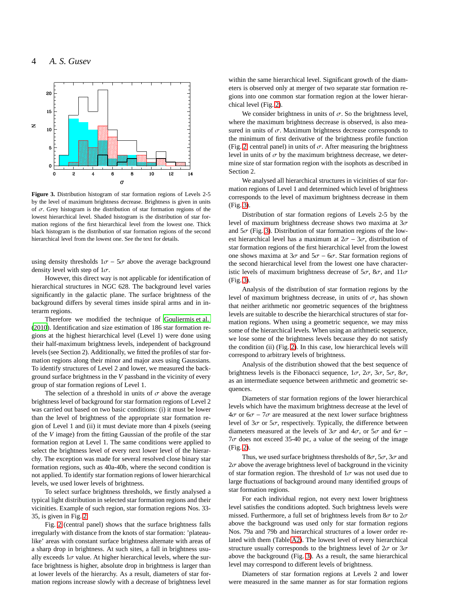

<span id="page-3-0"></span>**Figure 3.** Distribution histogram of star formation regions of Levels 2-5 by the level of maximum brightness decrease. Brightness is given in units of  $\sigma$ . Grey histogram is the distribution of star formation regions of the lowest hierarchical level. Shaded histogram is the distribution of star formation regions of the first hierarchical level from the lowest one. Thick black histogram is the distribution of star formation regions of the second hierarchical level from the lowest one. See the text for details.

using density thresholds  $1\sigma - 5\sigma$  above the average background density level with step of  $1\sigma$ .

However, this direct way is not applicable for identification of hierarchical structures in NGC 628. The background level varies significantly in the galactic plane. The surface brightness of the background differs by several times inside spiral arms and in interarm regions.

Therefore we modified the technique of [Gouliermis et al.](#page-8-7) [\(2010](#page-8-7)). Identification and size estimation of 186 star formation regions at the highest hierarchical level (Level 1) were done using their half-maximum brightness levels, independent of background levels (see Section 2). Additionally, we fitted the profiles of star formation regions along their minor and major axes using Gaussians. To identify structures of Level 2 and lower, we measured the background surface brightness in the *V* passband in the vicinity of every group of star formation regions of Level 1.

The selection of a threshold in units of  $\sigma$  above the average brightness level of background for star formation regions of Level 2 was carried out based on two basic conditions: (i) it must be lower than the level of brightness of the appropriate star formation region of Level 1 and (ii) it must deviate more than 4 pixels (seeing of the *V* image) from the fitting Gaussian of the profile of the star formation region at Level 1. The same conditions were applied to select the brightness level of every next lower level of the hierarchy. The exception was made for several resolved close binary star formation regions, such as 40a-40b, where the second condition is not applied. To identify star formation regions of lower hierarchical levels, we used lower levels of brightness.

To select surface brightness thresholds, we firstly analysed a typical light distribution in selected star formation regions and their vicinities. Example of such region, star formation regions Nos. 33- 35, is given in Fig. [2.](#page-2-2)

Fig. [2](#page-2-2) (central panel) shows that the surface brightness falls irregularly with distance from the knots of star formation: 'plateaulike' areas with constant surface brightness alternate with areas of a sharp drop in brightness. At such sites, a fall in brightness usually exceeds  $1\sigma$  value. At higher hierarchical levels, where the surface brightness is higher, absolute drop in brightness is larger than at lower levels of the hierarchy. As a result, diameters of star formation regions increase slowly with a decrease of brightness level within the same hierarchical level. Significant growth of the diameters is observed only at merger of two separate star formation regions into one common star formation region at the lower hierarchical level (Fig. [2\)](#page-2-2).

We consider brightness in units of  $\sigma$ . So the brightness level, where the maximum brightness decrease is observed, is also measured in units of  $\sigma$ . Maximum brightness decrease corresponds to the minimum of first derivative of the brightness profile function (Fig. [2,](#page-2-2) central panel) in units of  $\sigma$ . After measuring the brightness level in units of  $\sigma$  by the maximum brightness decrease, we determine size of star formation region with the isophots as described in Section 2.

We analysed all hierarchical structures in vicinities of star formation regions of Level 1 and determined which level of brightness corresponds to the level of maximum brightness decrease in them (Fig. [3\)](#page-3-0).

Distribution of star formation regions of Levels 2-5 by the level of maximum brightness decrease shows two maxima at  $3\sigma$ and  $5\sigma$  (Fig. [3\)](#page-3-0). Distribution of star formation regions of the lowest hierarchical level has a maximum at  $2\sigma - 3\sigma$ , distribution of star formation regions of the first hierarchical level from the lowest one shows maxima at  $3\sigma$  and  $5\sigma - 6\sigma$ . Star formation regions of the second hierarchical level from the lowest one have characteristic levels of maximum brightness decrease of  $5\sigma$ ,  $8\sigma$ , and  $11\sigma$ (Fig. [3\)](#page-3-0).

Analysis of the distribution of star formation regions by the level of maximum brightness decrease, in units of  $\sigma$ , has shown that neither arithmetic nor geometric sequences of the brightness levels are suitable to describe the hierarchical structures of star formation regions. When using a geometric sequence, we may miss some of the hierarchical levels. When using an arithmetic sequence, we lose some of the brightness levels because they do not satisfy the condition (ii) (Fig. [2\)](#page-2-2). In this case, low hierarchical levels will correspond to arbitrary levels of brightness.

Analysis of the distribution showed that the best sequence of brightness levels is the Fibonacci sequence,  $1\sigma$ ,  $2\sigma$ ,  $3\sigma$ ,  $5\sigma$ ,  $8\sigma$ , as an intermediate sequence between arithmetic and geometric sequences.

Diameters of star formation regions of the lower hierarchical levels which have the maximum brightness decrease at the level of  $4\sigma$  or  $6\sigma$  –  $7\sigma$  are measured at the next lower surface brightness level of  $3\sigma$  or  $5\sigma$ , respectively. Typically, the difference between diameters measured at the levels of  $3\sigma$  and  $4\sigma$ , or  $5\sigma$  and  $6\sigma$  −  $7\sigma$  does not exceed 35-40 pc, a value of the seeing of the image (Fig. [2\)](#page-2-2).

Thus, we used surface brightness thresholds of  $8\sigma$ ,  $5\sigma$ ,  $3\sigma$  and  $2\sigma$  above the average brightness level of background in the vicinity of star formation region. The threshold of  $1\sigma$  was not used due to large fluctuations of background around many identified groups of star formation regions.

For each individual region, not every next lower brightness level satisfies the conditions adopted. Such brightness levels were missed. Furthermore, a full set of brightness levels from  $8\sigma$  to  $2\sigma$ above the background was used only for star formation regions Nos. 79a and 79b and hierarchical structures of a lower order related with them (Table [A2\)](#page-10-0). The lowest level of every hierarchical structure usually corresponds to the brightness level of  $2\sigma$  or  $3\sigma$ above the background (Fig. [3\)](#page-3-0). As a result, the same hierarchical level may correspond to different levels of brightness.

Diameters of star formation regions at Levels 2 and lower were measured in the same manner as for star formation regions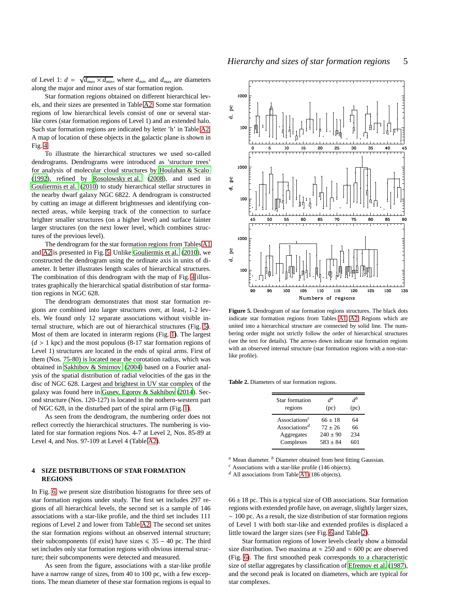of Level 1:  $d = \sqrt{d_{max} \times d_{min}}$ , where  $d_{min}$  and  $d_{max}$  are diameters along the major and minor axes of star formation region.

Star formation regions obtained on different hierarchical levels, and their sizes are presented in Table [A2.](#page-10-0) Some star formation regions of low hierarchical levels consist of one or several starlike cores (star formation regions of Level 1) and an extended halo. Such star formation regions are indicated by letter 'h' in Table [A2.](#page-10-0) A map of location of these objects in the galactic plane is shown in Fig. [4.](#page-5-0)

To illustrate the hierarchical structures we used so-called dendrograms. Dendrograms were introduced as 'structure trees' for analysis of molecular cloud structures by [Houlahan & Scalo](#page-8-33) [\(1992](#page-8-33)), refined by [Rosolowsky et al. \(2008\)](#page-8-34), and used in [Gouliermis et al. \(2010](#page-8-7)) to study hierarchical stellar structures in the nearby dwarf galaxy NGC 6822. A dendrogram is constructed by cutting an image at different brightnesses and identifying connected areas, while keeping track of the connection to surface brighter smaller structures (on a higher level) and surface fainter larger structures (on the next lower level, which combines structures of the previous level).

The dendrogram for the star formation regions from Tables [A1](#page-9-0) and [A2](#page-10-0) is presented in Fig. [5.](#page-4-0) Unlike [Gouliermis et al. \(2010](#page-8-7)), we constructed the dendrogram using the ordinate axis in units of diameter. It better illustrates length scales of hierarchical structures. The combination of this dendrogram with the map of Fig. [4](#page-5-0) illustrates graphically the hierarchical spatial distribution of star formation regions in NGC 628.

The dendrogram demonstrates that most star formation regions are combined into larger structures over, at least, 1-2 levels. We found only 12 separate associations without visible internal structure, which are out of hierarchical structures (Fig. [5\)](#page-4-0). Most of them are located in interarm regions (Fig. [1\)](#page-1-0). The largest  $(d > 1$  kpc) and the most populous (8-17 star formation regions of Level 1) structures are located in the ends of spiral arms. First of them (Nos. 75-80) is located near the corotation radius, which was obtained in [Sakhibov & Smirnov \(2004](#page-8-30)) based on a Fourier analysis of the spatial distribution of radial velocities of the gas in the disc of NGC 628. Largest and brightest in UV star complex of the galaxy was found here in [Gusev, Egorov & Sakhibov](#page-8-35) [\(2014](#page-8-35)). Second structure (Nos. 120-127) is located in the nothern-western part of NGC 628, in the disturbed part of the spiral arm (Fig. [1\)](#page-1-0).

As seen from the dendrogram, the numbering order does not reflect correctly the hierarchical structures. The numbering is violated for star formation regions Nos. 4-7 at Level 2, Nos. 85-89 at Level 4, and Nos. 97-109 at Level 4 (Table [A2\)](#page-10-0).

### **4 SIZE DISTRIBUTIONS OF STAR FORMATION REGIONS**

In Fig. [6,](#page-5-1) we present size distribution histograms for three sets of star formation regions under study. The first set includes 297 regions of all hierarchical levels, the second set is a sample of 146 associations with a star-like profile, and the third set includes 111 regions of Level 2 and lower from Table [A2.](#page-10-0) The second set unites the star formation regions without an observed internal structure; their subcomponents (if exist) have sizes  $\leq 35 - 40$  pc. The third set includes only star formation regions with obvious internal structure; their subcomponents were detected and measured.

As seen from the figure, associations with a star-like profile have a narrow range of sizes, from 40 to 100 pc, with a few exceptions. The mean diameter of these star formation regions is equal to



<span id="page-4-0"></span>**Figure 5.** Dendrogram of star formation regions structures. The black dots indicate star formation regions from Tables [A1,](#page-9-0) [A2.](#page-10-0) Regions which are united into a hierarchical structure are connected by solid line. The numbering order might not strictly follow the order of hierarchical structures (see the text for details). The arrows down indicate star formation regions with an observed internal structure (star formation regions with a non-starlike profile).

**Table 2.** Diameters of star formation regions.

<span id="page-4-1"></span>

| Star formation                         | $d^a$        | Лb   |  |  |
|----------------------------------------|--------------|------|--|--|
| regions                                | (pc)         | (pc) |  |  |
| Associations <sup><math>c</math></sup> | $66 \pm 18$  | 64   |  |  |
| Associations <sup>d</sup>              | $72 + 26$    | 66   |  |  |
| Aggregates                             | $240 \pm 90$ | 234  |  |  |
| Complexes                              | $583 + 84$   | 601  |  |  |

*<sup>a</sup>* Mean diameter. *<sup>b</sup>* Diameter obtained from best fitting Gaussian.

*<sup>c</sup>* Associations with a star-like profile (146 objects).

*<sup>d</sup>* All associations from Table [A1](#page-9-0) (186 objects).

 $66 \pm 18$  pc. This is a typical size of OB associations. Star formation regions with extended profile have, on average, slightly larger sizes, ∼ 100 pc. As a result, the size distribution of star formation regions of Level 1 with both star-like and extended profiles is displaced a little toward the larger sizes (see Fig. [6](#page-5-1) and Table [2\)](#page-4-1).

Star formation regions of lower levels clearly show a bimodal size distribution. Two maxima at  $\approx 250$  and  $\approx 600$  pc are observed (Fig. [6\)](#page-5-1). The first smoothed peak corresponds to a characteristic size of stellar aggregates by classification of [Efremov et al. \(1987](#page-7-5)), and the second peak is located on diameters, which are typical for star complexes.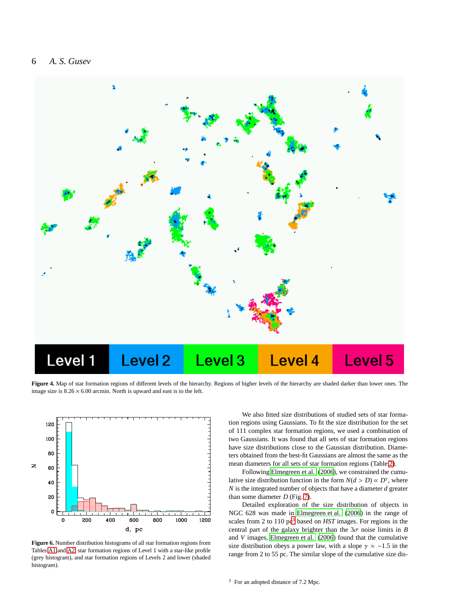### 6 *A. S. Gusev*



<span id="page-5-0"></span>**Figure 4.** Map of star formation regions of different levels of the hierarchy. Regions of higher levels of the hierarchy are shaded darker than lower ones. The image size is  $8.26 \times 6.00$  arcmin. North is upward and east is to the left.



<span id="page-5-1"></span>**Figure 6.** Number distribution histograms of all star formation regions from Tables [A1](#page-9-0) and [A2,](#page-10-0) star formation regions of Level 1 with a star-like profile (grey histogram), and star formation regions of Levels 2 and lower (shaded histogram).

We also fitted size distributions of studied sets of star formation regions using Gaussians. To fit the size distribution for the set of 111 complex star formation regions, we used a combination of two Gaussians. It was found that all sets of star formation regions have size distributions close to the Gaussian distribution. Diameters obtained from the best-fit Gaussians are almost the same as the mean diameters for all sets of star formation regions (Table [2\)](#page-4-1).

Following [Elmegreen et al. \(2006](#page-8-24)), we constrained the cumulative size distribution function in the form  $N(d > D) \propto D^{\gamma}$ , where *N* is the integrated number of objects that have a diameter *d* greater than some diameter *D* (Fig. [7\)](#page-6-0).

<span id="page-5-2"></span>Detailed exploration of the size distribution of objects in NGC 628 was made in [Elmegreen et al. \(2006](#page-8-24)) in the range of scales from 2 to 110 pc<sup>[3](#page-5-2)</sup> based on *HST* images. For regions in the central part of the galaxy brighter than the  $3\sigma$  noise limits in *B* and *V* images, [Elmegreen et al. \(2006\)](#page-8-24) found that the cumulative size distribution obeys a power law, with a slope  $\gamma \approx -1.5$  in the range from 2 to 55 pc. The similar slope of the cumulative size dis-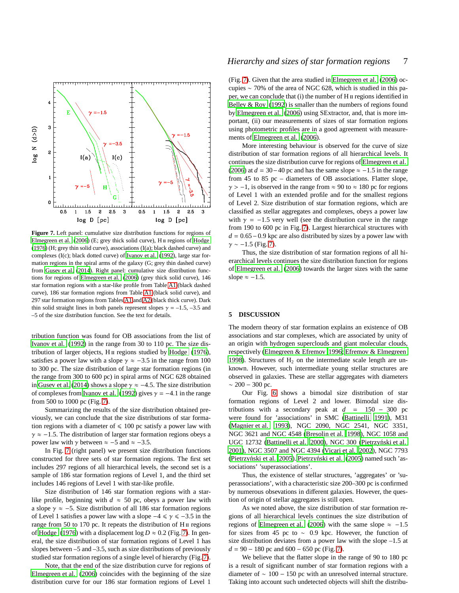

<span id="page-6-0"></span>**Figure 7.** Left panel: cumulative size distribution functions for regions of [Elmegreen et al. \(2006\)](#page-8-24) (E; grey thick solid curve), H  $\scriptstyle\rm II$  regions of [Hodge](#page-8-25) [\(1976\)](#page-8-25) (H; grey thin solid curve), associations (I(a); black dashed curve) and complexes (I(c); black dotted curve) of [Ivanov et al. \(1992](#page-8-26)), large star formation regions in the spiral arms of the galaxy (G; grey thin dashed curve) from [Gusev et al. \(2014\)](#page-8-35). Right panel: cumulative size distribution functions for regions of [Elmegreen et al. \(2006\)](#page-8-24) (grey thick solid curve), 146 star formation regions with a star-like profile from Table [A1](#page-9-0) (black dashed curve), 186 star formation regions from Table [A1](#page-9-0) (black solid curve), and 297 star formation regions from Tables [A1](#page-9-0) and [A2](#page-10-0) (black thick curve). Dark thin solid straight lines in both panels represent slopes  $\gamma = -1.5, -3.5$  and –5 of the size distribution function. See the text for details.

tribution function was found for OB associations from the list of [Ivanov et al. \(1992](#page-8-26)) in the range from 30 to 110 pc. The size distribution of larger objects,  $H\pi$  regions studied by [Hodge \(1976\)](#page-8-25), satisfies a power law with a slope  $\gamma \approx -3.5$  in the range from 100 to 300 pc. The size distribution of large star formation regions (in the range from 300 to 600 pc) in spiral arms of NGC 628 obtained in [Gusev et al. \(2014](#page-8-35)) shows a slope  $\gamma \approx -4.5$ . The size distribution of complexes from [Ivanov et al. \(1992\)](#page-8-26) gives  $\gamma = -4.1$  in the range from 500 to 1000 pc (Fig. [7\)](#page-6-0).

Summarizing the results of the size distribution obtained previously, we can conclude that the size distributions of star formation regions with a diameter of  $\leq 100$  pc satisfy a power law with  $\gamma \approx -1.5$ . The distribution of larger star formation regions obeys a power law with  $\gamma$  between  $\approx -5$  and  $\approx -3.5$ .

In Fig. [7](#page-6-0) (right panel) we present size distribution functions constructed for three sets of star formation regions. The first set includes 297 regions of all hierarchical levels, the second set is a sample of 186 star formation regions of Level 1, and the third set includes 146 regions of Level 1 with star-like profile.

Size distribution of 146 star formation regions with a starlike profile, beginning with  $d \approx 50$  pc, obeys a power law with a slope  $\gamma \approx -5$ . Size distribution of all 186 star formation regions of Level 1 satisfies a power law with a slope  $-4 \le \gamma \le -3.5$  in the range from 50 to 170 pc. It repeats the distribution of  $H_{II}$  regions of [Hodge \(1976](#page-8-25)) with a displacement  $\log D \approx 0.2$  (Fig. [7\)](#page-6-0). In general, the size distribution of star formation regions of Level 1 has slopes between  $-5$  and  $-3.5$ , such as size distributions of previously studied star formation regions of a single level of hierarchy (Fig. [7\)](#page-6-0).

Note, that the end of the size distribution curve for regions of [Elmegreen et al. \(2006\)](#page-8-24) coincides with the beginning of the size distribution curve for our 186 star formation regions of Level 1

(Fig. [7\)](#page-6-0). Given that the area studied in [Elmegreen et al.](#page-8-24) [\(2006](#page-8-24)) occupies ∼ 70% of the area of NGC 628, which is studied in this paper, we can conclude that  $(i)$  the number of H  $\pi$  regions identified in Belley  $& Roy (1992)$  is smaller than the numbers of regions found by [Elmegreen et al. \(2006](#page-8-24)) using SExtractor, and, that is more important, (ii) our measurements of sizes of star formation regions using photometric profiles are in a good agreement with measurements of [Elmegreen et al. \(2006](#page-8-24)).

More interesting behaviour is observed for the curve of size distribution of star formation regions of all hierarchical levels. It continues the size distribution curve for regions of [Elmegreen et al.](#page-8-24) [\(2006](#page-8-24)) at  $d = 30-40$  pc and has the same slope  $\approx -1.5$  in the range from 45 to 85 pc – diameters of OB associations. Flatter slope,  $\gamma$  > −1, is observed in the range from  $\approx$  90 to  $\approx$  180 pc for regions of Level 1 with an extended profile and for the smallest regions of Level 2. Size distribution of star formation regions, which are classified as stellar aggregates and complexes, obeys a power law with  $\gamma = -1.5$  very well (see the distribution curve in the range from 190 to 600 pc in Fig. [7\)](#page-6-0). Largest hierarchical structures with *d* = 0.65 − 0.9 kpc are also distributed by sizes by a power law with  $\gamma \sim -1.5$  (Fig. [7\)](#page-6-0).

Thus, the size distribution of star formation regions of all hierarchical levels continues the size distribution function for regions of [Elmegreen et al.](#page-8-24) [\(2006](#page-8-24)) towards the larger sizes with the same slope  $\approx -1.5$ .

### **5 DISCUSSION**

The modern theory of star formation explains an existence of OB associations and star complexes, which are associated by unity of an origin with hydrogen superclouds and giant molecular clouds, respectively [\(Elmegreen & Efremov 1996](#page-8-1); [Efremov & Elmegreen](#page-7-1) [1998](#page-7-1)). Structures of  $H_2$  on the intermediate scale length are unknown. However, such intermediate young stellar structures are observed in galaxies. These are stellar aggregates with diameters  $~\sim$  200 – 300 pc.

Our Fig. [6](#page-5-1) shows a bimodal size distribution of star formation regions of Level 2 and lower. Bimodal size distributions with a secondary peak at  $d = 150 - 300$  pc were found for 'associations' in SMC [\(Battinelli 1991](#page-7-12)), M31 [\(Magnier et al. 1993](#page-8-10)), NGC 2090, NGC 2541, NGC 3351, NGC 3621 and NGC 4548 [\(Bresolin et al. 1998](#page-7-16)), NGC 1058 and UGC 12732 [\(Battinelli et al. 2000\)](#page-7-23), NGC 300 (Pietrzyński et al. [2001](#page-8-11)), NGC 3507 and NGC 4394 [\(Vicari et al. 2002](#page-8-36)), NGC 7793 (Pietrzyński et al. 2005). Pietrzyński et al. (2005) named such 'associations' 'superassociations'.

Thus, the existence of stellar structures, 'aggregates' or 'superassociations', with a characteristic size 200–300 pc is confirmed by numerous obsevations in different galaxies. However, the question of origin of stellar aggregates is still open.

As we noted above, the size distribution of star formation regions of all hierarchical levels continues the size distribution of regions of [Elmegreen et al. \(2006](#page-8-24)) with the same slope  $\approx -1.5$ for sizes from 45 pc to  $\sim$  0.9 kpc. However, the function of size distribution deviates from a power law with the slope –1.5 at  $d = 90 - 180$  pc and  $600 - 650$  pc (Fig. [7\)](#page-6-0).

We believe that the flatter slope in the range of 90 to 180 pc is a result of significant number of star formation regions with a diameter of ∼ 100 − 150 pc with an unresolved internal structure. Taking into account such undetected objects will shift the distribu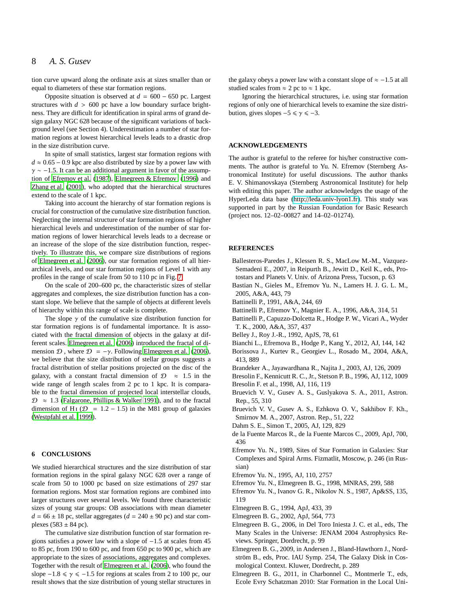tion curve upward along the ordinate axis at sizes smaller than or equal to diameters of these star formation regions.

Opposite situation is observed at *d* = 600 − 650 pc. Largest structures with  $d > 600$  pc have a low boundary surface brightness. They are difficult for identification in spiral arms of grand design galaxy NGC 628 because of the significant variations of background level (see Section 4). Underestimation a number of star formation regions at lowest hierarchical levels leads to a drastic drop in the size distribution curve.

In spite of small statistics, largest star formation regions with  $d \approx 0.65 - 0.9$  kpc are also distributed by size by a power law with  $\gamma \sim -1.5$ . It can be an additional argument in favor of the assumption of [Efremov et al.](#page-7-5) [\(1987](#page-7-5)), [Elmegreen & Efremov \(1996\)](#page-8-1) and [Zhang et al. \(2001](#page-8-2)), who adopted that the hierarchical structures extend to the scale of 1 kpc.

Taking into account the hierarchy of star formation regions is crucial for construction of the cumulative size distribution function. Neglecting the internal structure of star formation regions of higher hierarchical levels and underestimation of the number of star formation regions of lower hierarchical levels leads to a decrease or an increase of the slope of the size distribution function, respectively. To illustrate this, we compare size distributions of regions of [Elmegreen et al. \(2006\)](#page-8-24), our star formation regions of all hierarchical levels, and our star formation regions of Level 1 with any profiles in the range of scale from 50 to 110 pc in Fig. [7.](#page-6-0)

On the scale of 200–600 pc, the characteristic sizes of stellar aggregates and complexes, the size distribution function has a constant slope. We believe that the sample of objects at different levels of hierarchy within this range of scale is complete.

The slope  $\gamma$  of the cumulative size distribution function for star formation regions is of fundamental importance. It is associated with the fractal dimension of objects in the galaxy at different scales. [Elmegreen et al. \(2006\)](#page-8-24) introduced the fractal of dimension  $\mathcal{D}$ , where  $\mathcal{D} = -\gamma$ . Following [Elmegreen et al. \(2006](#page-8-24)), we believe that the size distribution of stellar groups suggests a fractal distribution of stellar positions projected on the disc of the galaxy, with a constant fractal dimension of  $\mathcal{D} \approx 1.5$  in the wide range of length scales from 2 pc to 1 kpc. It is comparable to the fractal dimension of projected local interstellar clouds,  $\mathcal{D} \approx 1.3$  [\(Falgarone, Phillips & Walker 1991\)](#page-8-37), and to the fractal dimension of H<sub>1</sub> ( $\mathcal{D} = 1.2 - 1.5$ ) in the M81 group of galaxies [\(Westpfahl et al. 1999](#page-8-38)).

### **6 CONCLUSIONS**

We studied hierarchical structures and the size distribution of star formation regions in the spiral galaxy NGC 628 over a range of scale from 50 to 1000 pc based on size estimations of 297 star formation regions. Most star formation regions are combined into larger structures over several levels. We found three characteristic sizes of young star groups: OB associations with mean diameter  $d = 66 \pm 18$  pc, stellar aggregates ( $d = 240 \pm 90$  pc) and star complexes  $(583 \pm 84 \text{ pc})$ .

The cumulative size distribution function of star formation regions satisfies a power law with a slope of −1.5 at scales from 45 to 85 pc, from 190 to 600 pc, and from 650 pc to 900 pc, which are appropriate to the sizes of associations, aggregates and complexes. Together with the result of [Elmegreen et al. \(2006](#page-8-24)), who found the slope  $-1.8 \le \gamma \le -1.5$  for regions at scales from 2 to 100 pc, our result shows that the size distribution of young stellar structures in the galaxy obeys a power law with a constant slope of  $\approx -1.5$  at all studied scales from  $\approx 2$  pc to  $\approx 1$  kpc.

Ignoring the hierarchical structures, i.e. using star formation regions of only one of hierarchical levels to examine the size distribution, gives slopes  $-5 \le \gamma \le -3$ .

#### **ACKNOWLEDGEMENTS**

The author is grateful to the referee for his/her constructive comments. The author is grateful to Yu. N. Efremov (Sternberg Astronomical Institute) for useful discussions. The author thanks E. V. Shimanovskaya (Sternberg Astronomical Institute) for help with editing this paper. The author acknowledges the usage of the HyperLeda data base (http://[leda.univ-lyon1.fr\)](http://leda.univ-lyon1.fr). This study was supported in part by the Russian Foundation for Basic Research (project nos. 12–02–00827 and 14–02–01274).

#### **REFERENCES**

- <span id="page-7-20"></span>Ballesteros-Paredes J., Klessen R. S., MacLow M.-M., Vazquez-Semadeni E., 2007, in Reipurth B., Jewitt D., Keil K., eds, Protostars and Planets V. Univ. of Arizona Press, Tucson, p. 63
- <span id="page-7-10"></span>Bastian N., Gieles M., Efremov Yu. N., Lamers H. J. G. L. M., 2005, A&A, 443, 79
- <span id="page-7-12"></span>Battinelli P., 1991, A&A, 244, 69
- <span id="page-7-13"></span>Battinelli P., Efremov Y., Magnier E. A., 1996, A&A, 314, 51
- <span id="page-7-23"></span>Battinelli P., Capuzzo-Dolcetta R., Hodge P. W., Vicari A., Wyder T. K., 2000, A&A, 357, 437
- <span id="page-7-22"></span>Belley J., Roy J.-R., 1992, ApJS, 78, 61
- <span id="page-7-11"></span>Bianchi L., Efremova B., Hodge P., Kang Y., 2012, AJ, 144, 142
- <span id="page-7-14"></span>Borissova J., Kurtev R., Georgiev L., Rosado M., 2004, A&A, 413, 889
- <span id="page-7-18"></span>Brandeker A., Jayawardhana R., Najita J., 2003, AJ, 126, 2009
- <span id="page-7-15"></span>Bresolin F., Kennicutt R. C., Jr., Stetson P. B., 1996, AJ, 112, 1009
- <span id="page-7-16"></span>Bresolin F. et al., 1998, AJ, 116, 119
- <span id="page-7-17"></span>Bruevich V. V., Gusev A. S., Guslyakova S. A., 2011, Astron. Rep., 55, 310
- <span id="page-7-21"></span>Bruevich V. V., Gusev A. S., Ezhkova O. V., Sakhibov F. Kh., Smirnov M. A., 2007, Astron. Rep., 51, 222
- <span id="page-7-19"></span>Dahm S. E., Simon T., 2005, AJ, 129, 829
- <span id="page-7-9"></span>de la Fuente Marcos R., de la Fuente Marcos C., 2009, ApJ, 700, 436
- <span id="page-7-6"></span>Efremov Yu. N., 1989, Sites of Star Formation in Galaxies: Star Complexes and Spiral Arms. Fizmatlit, Moscow, p. 246 (in Russian)
- <span id="page-7-0"></span>Efremov Yu. N., 1995, AJ, 110, 2757
- <span id="page-7-1"></span>Efremov Yu. N., Elmegreen B. G., 1998, MNRAS, 299, 588
- <span id="page-7-5"></span>Efremov Yu. N., Ivanov G. R., Nikolov N. S., 1987, Ap&SS, 135, 119
- <span id="page-7-7"></span>Elmegreen B. G., 1994, ApJ, 433, 39
- <span id="page-7-2"></span>Elmegreen B. G., 2002, ApJ, 564, 773
- <span id="page-7-3"></span>Elmegreen B. G., 2006, in Del Toro Iniesta J. C. et al., eds, The Many Scales in the Universe: JENAM 2004 Astrophysics Reviews. Springer, Dordrecht, p. 99
- <span id="page-7-8"></span>Elmegreen B. G., 2009, in Andersen J., Bland-Hawthorn J., Nordström B., eds, Proc. IAU Symp. 254, The Galaxy Disk in Cosmological Context. Kluwer, Dordrecht, p. 289
- <span id="page-7-4"></span>Elmegreen B. G., 2011, in Charbonnel C., Montmerle T., eds, Ecole Evry Schatzman 2010: Star Formation in the Local Uni-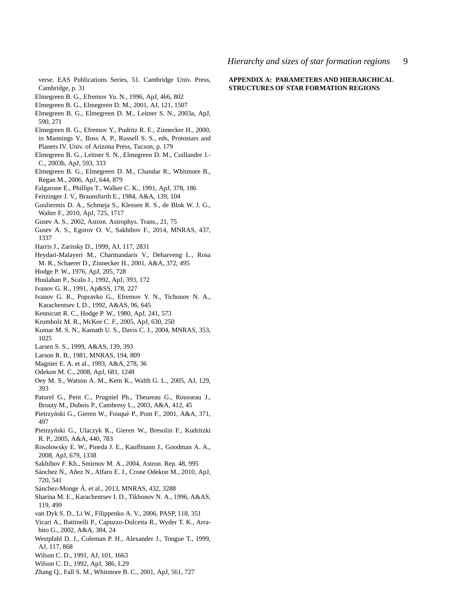verse. EAS Publications Series, 51. Cambridge Univ. Press, Cambridge, p. 31

- <span id="page-8-1"></span>Elmegreen B. G., Efremov Yu. N., 1996, ApJ, 466, 802
- <span id="page-8-5"></span>Elmegreen B. G., Elmegreen D. M., 2001, AJ, 121, 1507
- <span id="page-8-16"></span>Elmegreen B. G., Elmegreen D. M., Leitner S. N., 2003a, ApJ, 590, 271
- <span id="page-8-0"></span>Elmegreen B. G., Efremov Y., Pudritz R. E., Zinnecker H., 2000, in Mannings V., Boss A. P., Russell S. S., eds, Protostars and Planets IV. Univ. of Arizona Press, Tucson, p. 179
- <span id="page-8-17"></span>Elmegreen B. G., Leitner S. N., Elmegreen D. M., Cuillandre J.- C., 2003b, ApJ, 593, 333
- <span id="page-8-24"></span>Elmegreen B. G., Elmegreen D. M., Chandar R., Whitmore B., Regan M., 2006, ApJ, 644, 879
- <span id="page-8-37"></span>Falgarone E., Phillips T., Walker C. K., 1991, ApJ, 378, 186
- <span id="page-8-6"></span>Feitzinger J. V., Braunsfurth E., 1984, A&A, 139, 104
- <span id="page-8-7"></span>Gouliermis D. A., Schmeja S., Klessen R. S., de Blok W. J. G., Walter F., 2010, ApJ, 725, 1717
- <span id="page-8-8"></span>Gusev A. S., 2002, Astron. Astrophys. Trans., 21, 75
- <span id="page-8-35"></span>Gusev A. S., Egorov O. V., Sakhibov F., 2014, MNRAS, 437, 1337
- <span id="page-8-9"></span>Harris J., Zaritsky D., 1999, AJ, 117, 2831
- <span id="page-8-19"></span>Heydari-Malayeri M., Charmandaris V., Deharveng L., Rosa M. R., Schaerer D., Zinnecker H., 2001, A&A, 372, 495
- <span id="page-8-25"></span>Hodge P. W., 1976, ApJ, 205, 728
- <span id="page-8-33"></span>Houlahan P., Scalo J., 1992, ApJ, 393, 172
- <span id="page-8-3"></span>Ivanov G. R., 1991, Ap&SS, 178, 227
- <span id="page-8-26"></span>Ivanov G. R., Popravko G., Efremov Y. N., Tichonov N. A., Karachentsev I. D., 1992, A&AS, 96, 645
- <span id="page-8-32"></span>Kennicutt R. C., Hodge P. W., 1980, ApJ, 241, 573
- <span id="page-8-18"></span>Krumholz M. R., McKee C. F., 2005, ApJ, 630, 250
- <span id="page-8-20"></span>Kumar M. S. N., Kamath U. S., Davis C. J., 2004, MNRAS, 353, 1025
- <span id="page-8-27"></span>Larsen S. S., 1999, A&AS, 139, 393
- <span id="page-8-23"></span>Larson R. B., 1981, MNRAS, 194, 809
- <span id="page-8-10"></span>Magnier E. A. et al., 1993, A&A, 278, 36
- <span id="page-8-4"></span>Odekon M. C., 2008, ApJ, 681, 1248
- <span id="page-8-21"></span>Oey M. S., Watson A. M., Kern K., Walth G. L., 2005, AJ, 129, 393
- <span id="page-8-31"></span>Paturel G., Petit C., Prugniel Ph., Theureau G., Rousseau J., Brouty M., Dubois P., Cambresy L., 2003, A&A, 412, 45
- <span id="page-8-11"></span>Pietrzyński G., Gieren W., Fouqué P., Pont F., 2001, A&A, 371, 497
- <span id="page-8-12"></span>Pietrzyński G., Ulaczyk K., Gieren W., Bresolin F., Kudritzki R. P., 2005, A&A, 440, 783
- <span id="page-8-34"></span>Rosolowsky E. W., Pineda J. E., Kauffmann J., Goodman A. A., 2008, ApJ, 679, 1338
- <span id="page-8-30"></span>Sakhibov F. Kh., Smirnov M. A., 2004, Astron. Rep. 48, 995
- <span id="page-8-13"></span>Sánchez N., Añez N., Alfaro E. J., Crone Odekon M., 2010, ApJ, 720, 541
- <span id="page-8-22"></span>Sánchez-Monge Á. et al., 2013, MNRAS, 432, 3288
- <span id="page-8-28"></span>Sharina M. E., Karachentsev I. D., Tikhonov N. A., 1996, A&AS, 119, 499
- <span id="page-8-29"></span>van Dyk S. D., Li W., Filippenko A. V., 2006, PASP, 118, 351
- <span id="page-8-36"></span>Vicari A., Battinelli P., Capuzzo-Dolcetta R., Wyder T. K., Arrabito G., 2002, A&A, 384, 24
- <span id="page-8-38"></span>Westpfahl D. J., Coleman P. H., Alexander J., Tongue T., 1999, AJ, 117, 868
- <span id="page-8-14"></span>Wilson C. D., 1991, AJ, 101, 1663
- <span id="page-8-15"></span>Wilson C. D., 1992, ApJ, 386, L29
- <span id="page-8-2"></span>Zhang Q., Fall S. M., Whitmore B. C., 2001, ApJ, 561, 727

### **APPENDIX A: PARAMETERS AND HIERARCHICAL STRUCTURES OF STAR FORMATION REGIONS**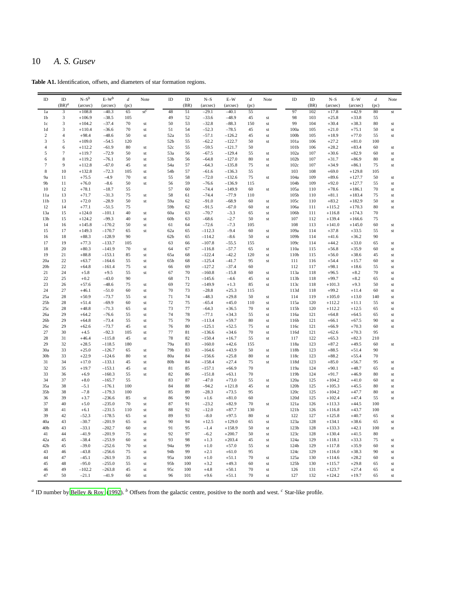## 10 *A. S. Gusev*

**Table A1.** Identification, offsets, and diameters of star formation regions.

<span id="page-9-0"></span>

| ID                      | ID                  | $N-S^b$              | $E-W^b$              | $\boldsymbol{d}$ | Note     | ID                    | ID       | $N-S$                | $E-W$              | $\boldsymbol{d}$ | Note                | ID                       | ID         | $N-S$              | $E-W$              | $\boldsymbol{d}$ | Note                |
|-------------------------|---------------------|----------------------|----------------------|------------------|----------|-----------------------|----------|----------------------|--------------------|------------------|---------------------|--------------------------|------------|--------------------|--------------------|------------------|---------------------|
|                         | $(BR)^d$            | (arcsec)             | (arcsec)             | (pc)             |          |                       | (BR)     | (arcsec)             | (arcsec)           | (pc)             |                     |                          | (BR)       | (arcsec)           | (arcsec)           | (pc)             |                     |
| 1a<br>1b                | 3<br>$\mathfrak{Z}$ | $+108.8$<br>$+106.9$ | $-40.3$<br>$-38.5$   | 65<br>105        | $st^c$   | 48<br>49              | 51<br>52 | $-29.1$<br>$-33.6$   | $-40.1$<br>$-48.9$ | 55<br>45         | $^{\rm st}$         | 97<br>98                 | 102<br>103 | $+17.8$<br>$+25.8$ | $+42.9$<br>$+33.8$ | 80<br>55         | st                  |
| 1c                      | $\mathfrak{Z}$      | $+104.2$             | $-37.4$              | 70               | st       | 50                    | 53       | $-32.8$              | $-88.3$            | 150              | $\operatorname{st}$ | 99                       | 104        | $+30.4$            | $+38.3$            | 80               | st                  |
| 1d                      | 3                   | $+110.4$             | $-36.6$              | 70               | st       | 51                    | 54       | $-52.3$              | $-78.5$            | 45               | st                  | 100a                     | 105        | $+21.0$            | $+75.1$            | 50               | st                  |
| $\overline{\mathbf{c}}$ | $\overline{4}$      | $+98.4$              | $-48.6$              | 50               | st       | 52a                   | 55       | $-57.1$              | $-126.2$           | 45               | st                  | 100 <sub>b</sub>         | 105        | $+18.9$            | $+77.0$            | 55               | $\operatorname{st}$ |
| 3                       | 5                   | $+109.0$             | $-54.5$              | 120              |          | 52 <sub>b</sub>       | 55       | $-62.2$              | $-122.7$           | 50               | st                  | 101a                     | 106        | $+27.2$            | $+81.0$            | 100              |                     |
| $\overline{4}$          | 6                   | $+112.2$             | $-61.9$              | 80               | st       | 52c                   | 55       | $-59.5$              | $-121.7$           | 50               |                     | 101 <sub>b</sub>         | 106        | $+28.2$            | $+83.4$            | 60               | st                  |
| 5                       | $\overline{7}$      | $+119.7$             | $-72.9$              | 50               | st       | 53a                   | 56       | $-67.5$              | $-129.4$           | 55               | st                  | 102a                     | 107        | $+30.6$            | $+82.9$            | 60               | $\operatorname{st}$ |
| 6                       | 8                   | $+119.2$             | $-76.1$              | 50               | st       | 53b                   | 56       | $-64.8$              | $-127.0$           | 80               | st                  | 102 <sub>b</sub>         | 107        | $+31.7$            | $+86.9$            | 80               | $\operatorname{st}$ |
| $\tau$                  | $\mathbf{Q}$        | $+112.8$             | $-67.0$              | 45               | st       | 54a                   | 57       | $-64.3$              | $-135.8$           | 75               | st                  | 102c                     | 107        | $+34.9$            | $+86.1$            | 75               | st                  |
| 8                       | 10                  | $+132.8$             | $-72.3$              | 105              | st       | 54b                   | 57       | $-61.6$              | $-136.3$           | 55               |                     | 103                      | 108        | $+69.0$            | $+129.8$           | 105              |                     |
| 9a                      | 11                  | $+75.5$              | $-4.9$               | 70               | st       | 55                    | 58       | $-72.0$              | $-132.6$           | 75               | st                  | 104a                     | 109        | $+89.6$            | $+127.7$           | 50               | st                  |
| 9 <sub>b</sub>          | 11                  | $+76.0$              | $-8.6$               | 50               | st       | 56                    | 59       | $-76.6$              | $-136.9$           | 115              |                     | 104b                     | 109        | $+92.0$            | $+127.7$           | 55               | st                  |
| 10                      | 12                  | $+78.1$              | $-18.7$              | 55               |          | 57                    | 60       | $-74.4$              | $-149.9$           | 60               | st                  | 105a                     | 110        | $+78.6$            | $+186.1$           | 70               | st                  |
| 11a                     | 13                  | $+71.7$              | $-31.3$              | 75               | st       | 58                    | 61       | $-74.4$              | $-77.9$            | 110              |                     | 105b                     | 110        | $+81.1$            | $+183.4$           | 75               | st                  |
| 11 <sub>b</sub>         | 13                  | $+72.0$              | $-28.9$              | 50               | st       | 59a                   | 62       | $-91.0$              | $-68.9$            | 60               | st                  | 105c                     | 110        | $+83.2$            | $+182.9$           | 50               | st                  |
| 12                      | 14                  | $+77.1$              | $-51.5$              | 75               |          | 59b                   | 62       | $-91.5$              | $-67.0$            | 60               | st                  | 106a                     | 111        | $+115.2$           | $+170.3$           | 80               | st                  |
| 13a                     | 15                  | $+124.0$             | $-101.1$             | 40               | st       | 60a                   | 63       | $-70.7$              | $-3.3$             | 65               | st                  | 106b                     | 111        | $+116.8$           | $+174.3$           | 70               |                     |
| 13 <sub>b</sub>         | 15                  | $+124.2$             | $-99.3$              | 40               | st       | 60 <sub>b</sub>       | 63       | $-68.6$              | $-2.7$             | 50               | st                  | 107                      | 112        | $+139.4$           | $+166.6$           | 75               |                     |
| 14                      | 16                  | $+145.8$             | $-170.2$             | 50               | st       | 61                    | 64       | $-72.6$              | $-7.3$             | 105              |                     | 108                      | 113        | $+141.0$           | $+145.0$           | 60               | st                  |
| 15                      | 17                  | $+149.3$             | $-170.7$<br>$-128.9$ | 65               | st       | 62a                   | 65       | $-112.3$             | $-9.4$             | 60               | $^{\rm st}$         | 109a                     | 114        | $+37.8$            | $+33.5$            | 55<br>90         | st                  |
| 16<br>17                | 18<br>19            | $+88.3$<br>$+77.3$   | $-133.7$             | 90<br>105        |          | 62 <sub>b</sub><br>63 | 65<br>66 | $-114.2$<br>$-107.8$ | $-8.6$<br>$-55.5$  | 50<br>155        | st                  | 109 <sub>b</sub><br>109c | 114<br>114 | $+41.6$<br>$+44.2$ | $+36.2$<br>$+33.0$ | 65               | $\operatorname{st}$ |
| 18                      | 20                  | $+80.3$              | $-141.9$             | 70               | st       | 64                    | 67       | $-116.8$             | $-57.7$            | 65               | st                  | 110a                     | 115        | $+56.8$            | $+35.9$            | 60               | st                  |
| 19                      | 21                  | $+88.8$              | $-153.1$             | 85               | st       | 65a                   | 68       | $-122.4$             | $-42.2$            | 120              | $^{\rm st}$         | 110b                     | 115        | $+56.0$            | $+38.6$            | 45               | $\operatorname{st}$ |
| 20a                     | 22                  | $+63.7$              | $-164.6$             | 55               | st       | 65 <sub>b</sub>       | 68       | $-125.4$             | $-41.7$            | 95               | st                  | 111                      | 116        | $+54.4$            | $+15.7$            | 60               | st                  |
| 20 <sub>b</sub>         | 22                  | $+64.8$              | $-161.4$             | 75               | st       | 66                    | 69       | $-127.2$             | $-37.4$            | 60               |                     | 112                      | 117        | $+98.1$            | $+18.6$            | 55               | st                  |
| 21                      | 24                  | $+5.8$               | $+9.5$               | 55               | st       | 67                    | 70       | $-160.8$             | $-15.8$            | 60               | st                  | 113a                     | 118        | $+96.5$            | $+8.2$             | 70               | st                  |
| 22                      | 25                  | $+0.2$               | $-43.0$              | 90               |          | 68                    | 71       | $-145.6$             | $-4.6$             | 45               | st                  | 113b                     | 118        | $+99.7$            | $+8.2$             | 65               | st                  |
| 23                      | 26                  | $+57.6$              | $-48.6$              | 75               | st       | 69                    | 72       | $-149.9$             | $+1.3$             | 85               | st                  | 113c                     | 118        | $+101.3$           | $+9.3$             | 50               | st                  |
| 24                      | 27                  | $+46.1$              | $-51.0$              | 60               | st       | 70                    | 73       | $-28.8$              | $+25.3$            | 115              |                     | 113d                     | 118        | $+99.2$            | $+11.4$            | 60               | st                  |
| 25a                     | 28                  | $+50.9$              | $-73.7$              | 55               | st       | 71                    | 74       | $-48.3$              | $+29.8$            | 50               | $\operatorname{st}$ | 114                      | 119        | $+105.0$           | $+13.0$            | 140              | $\operatorname{st}$ |
| 25 <sub>b</sub>         | 28                  | $+51.4$              | $-69.9$              | 60               | st       | 72                    | 75       | $-65.4$              | $+45.0$            | 110              | st                  | 115a                     | 120        | $+112.2$           | $+11.1$            | 55               | $\operatorname{st}$ |
| 25c                     | 28                  | $+48.8$              | $-71.3$              | 65               | st       | 73                    | 77       | $-64.3$              | $+36.5$            | 70               | st                  | 115b                     | 120        | $+112.2$           | $+12.5$            | 65               | st                  |
| 26a                     | 29                  | $+64.2$              | $-76.6$              | 55               | st       | 74                    | 78       | $-77.1$              | $+34.3$            | 55               | st                  | 116a                     | 121        | $+64.8$            | $+64.5$            | 65               | $\operatorname{st}$ |
| 26 <sub>b</sub>         | 29                  | $+64.8$              | $-73.4$              | 55               | st       | 75                    | 79       | $-113.4$             | $+59.7$            | 80               | st                  | 116b                     | 121        | $+66.1$            | $+67.5$            | 90               | st                  |
| 26c                     | 29                  | $+62.6$              | $-73.7$              | 45               | st       | 76                    | 80       | $-125.1$             | $+52.5$            | 75               | st                  | 116c                     | 121        | $+66.9$            | $+70.3$            | 60               | st                  |
| 27                      | 30                  | $+4.5$               | $-92.3$              | 105              | st       | 77                    | 81       | $-136.6$             | $+34.6$            | 70               | st                  | 116d                     | 121        | $+62.6$            | $+70.3$            | 95               |                     |
| 28                      | 31                  | $+46.4$              | $-115.8$             | 45               | st       | 78                    | 82       | $-150.4$             | $+16.7$            | 55               | st                  | 117                      | 122        | $+65.3$            | $+82.3$            | 210              |                     |
| 29                      | 32                  | $+28.5$              | $-118.5$             | 180              |          | 79a                   | 83       | $-160.0$             | $+42.6$            | 155              |                     | 118a                     | 123        | $+87.2$            | $+49.5$            | 60               | st                  |
| 30a                     | 33<br>33            | $+25.0$<br>$+22.9$   | $-126.7$             | 65               | st       | 79b                   | 83       | $-164.6$             | $+43.9$            | 50               | st                  | 118b                     | 123<br>123 | $+88.5$            | $+51.4$            | 90               |                     |
| 30 <sub>b</sub><br>31   | 34                  | $+17.0$              | $-124.6$<br>$-133.1$ | 80<br>45         | st<br>st | 80a<br>80b            | 84<br>84 | $-156.6$<br>$-158.4$ | $+25.8$<br>$+27.4$ | 80<br>75         | st<br>st            | 118c<br>118d             | 123        | $+88.2$<br>$+85.0$ | $+55.4$<br>$+56.7$ | 70<br>95         | st                  |
| 32                      | 35                  | $+19.7$              | $-153.1$             | 45               | st       | 81                    | 85       | $-157.1$             | $+66.9$            | 70               |                     | 119a                     | 124        | $+90.1$            | $+48.7$            | 65               | st                  |
| 33                      | 36                  | $+6.9$               | $-160.3$             | 55               | st       | 82                    | 86       | $-151.8$             | $+63.1$            | 70               |                     | 119b                     | 124        | $+91.7$            | $+46.9$            | 80               | $\operatorname{st}$ |
| 34                      | 37                  | $+8.0$               | $-165.7$             | 55               |          | 83                    | 87       | $-47.0$              | $+73.0$            | 55               | st                  | 120a                     | 125        | $+104.2$           | $+41.0$            | 60               | st                  |
| 35a                     | 38                  | $-5.1$               | $-176.1$             | 100              |          | 84                    | 88       | $-94.2$              | $+121.8$           | 45               | $^{\rm st}$         | 120b                     | 125        | $+105.3$           | $+45.5$            | 80               | $\operatorname{st}$ |
| 35 <sub>b</sub>         | 38                  | $-7.8$               | $-179.3$             | 100              |          | 85                    | 89       | $-28.3$              | $+73.5$            | 95               |                     | 120c                     | 125        | $+104.2$           | $+47.7$            | 80               | st                  |
| 36                      | 39                  | $+3.7$               | $-236.6$             | 85               | st       | 86                    | 90       | $+1.6$               | $+81.0$            | 60               |                     | 120d                     | 125        | $+102.4$           | $+47.4$            | 55               | st                  |
| 37                      | 40                  | $+5.0$               | $-235.0$             | 70               | st       | 87                    | 91       | $-23.2$              | $+82.9$            | 70               | st                  | 121a                     | 126        | $+113.3$           | $+44.5$            | 100              |                     |
| 38                      | 41                  | $+6.1$               | $-231.5$             | 110              | st       | 88                    | 92       | $-12.0$              | $+87.7$            | 130              |                     | 121b                     | 126        | $+116.8$           | $+43.7$            | 100              |                     |
| 39                      | 42                  | $-52.3$              | $-178.5$             | 65               | st       | 89                    | 93       | $-8.0$               | $+97.5$            | 80               | st                  | 122                      | 127        | $+125.8$           | $+40.7$            | 65               | st                  |
| 40a                     | 43                  | $-30.7$              | $-201.9$             | 65               | st       | 90                    | 94       | $+12.5$              | $+129.0$           | 65               | st                  | 123a                     | 128        | $+134.1$           | $+38.6$            | 65               | st                  |
| 40 <sub>b</sub>         | 43                  | $-33.1$              | $-202.7$             | 60               | st       | 91                    | 95       | $-1.4$               | $+158.9$           | 50               | st                  | 123 <sub>b</sub>         | 128        | $+133.3$           | $+42.1$            | 100              | st                  |
| 41                      | 44                  | $-41.9$              | $-201.9$             | 75               | st       | 92                    | 97       | $-6.2$               | $+200.7$           | 50               | st                  | 123c                     | 128        | $+130.4$           | $+41.5$            | 80               |                     |
| 42a                     | 45                  | $-38.4$              | $-253.9$             | 60               | st       | 93                    | 98       | $+1.3$               | $+203.4$           | 45               | st                  | 124a                     | 129        | $+118.1$           | $+33.3$            | 75               | st                  |
| 42 <sub>b</sub>         | 45                  | $-39.0$              | $-252.6$             | 70               | st       | 94a                   | 99       | $+1.0$               | $+57.0$            | 55               | st                  | 124b                     | 129        | $+117.8$           | $+35.9$            | 60               | $\operatorname{st}$ |
| 43                      | 46                  | $-43.8$              | $-256.6$             | 75               | st       | 94b                   | 99       | $+2.1$               | $+61.0$            | 95               |                     | 124c                     | 129        | $+116.0$           | $+38.3$            | 90               | st                  |
| 44                      | 47                  | $-45.1$              | $-261.9$             | 35               | st       | 95a                   | 100      | $+1.0$               | $+51.1$            | 70               | $\operatorname{st}$ | 125a                     | 130        | $+114.6$           | $+28.2$            | 60               | $\operatorname{st}$ |
| 45                      | 48                  | $-95.0$              | $-255.0$             | 55               | st       | 95b                   | 100      | $+3.2$               | $+49.3$            | 60               | st                  | 125b                     | 130        | $+115.7$           | $+29.8$            | 65               | st                  |
| 46                      | 49                  | $-102.2$             | $-263.8$             | 45               | st       | 95c                   | 100      | $+4.8$               | $+50.1$            | 70               | st                  | 126                      | 131        | $+123.7$           | $+27.4$            | 65               | $\operatorname{st}$ |
| 47                      | 50                  | $-21.1$              | $-41.9$              | 60               | st       | 96                    | 101      | $+9.6$               | $+51.1$            | 70               | st                  | 127                      | 132        | $+124.2$           | $+19.7$            | 65               | st                  |

*a* ID number by [Belley & Roy \(1992\)](#page-7-22). *<sup>b</sup>* Offsets from the galactic centre, positive to the north and west. *<sup>c</sup>* Star-like profile.